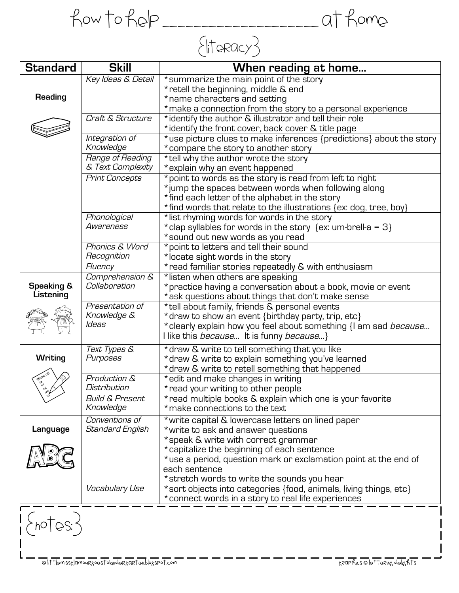How to help \_\_\_\_\_\_\_\_\_\_\_\_\_\_\_\_\_\_\_\_ at home  $\{$ literacy $\}$ 

| <b>Standard</b>                    | <b>Skill</b>                              | When reading at home                                                                                                                                                                                                                                                                                               |
|------------------------------------|-------------------------------------------|--------------------------------------------------------------------------------------------------------------------------------------------------------------------------------------------------------------------------------------------------------------------------------------------------------------------|
| <b>Reading</b>                     | Key Ideas & Detail                        | *summarize the main point of the story<br>* retell the beginning, middle & end<br>* name characters and setting<br>* make a connection from the story to a personal experience                                                                                                                                     |
|                                    | Craft & Structure                         | *identify the author & illustrator and tell their role<br>*identify the front cover, back cover & title page                                                                                                                                                                                                       |
|                                    | Integration of<br>Knowledge               | *use picture clues to make inferences {predictions} about the story<br>* compare the story to another story                                                                                                                                                                                                        |
|                                    | Range of Reading<br>& Text Complexity     | *tell why the author wrote the story<br>* explain why an event happened                                                                                                                                                                                                                                            |
|                                    | <b>Print Concepts</b>                     | *point to words as the story is read from left to right<br>*jump the spaces between words when following along<br>*find each letter of the alphabet in the story<br>*find words that relate to the illustrations {ex: dog, tree, boy}                                                                              |
|                                    | Phonological<br>Awareness                 | *list rhyming words for words in the story<br>* clap syllables for words in the story {ex: um-brell-a = 3}<br>*sound out new words as you read                                                                                                                                                                     |
|                                    | Phonics & Word<br>Recognition             | *point to letters and tell their sound<br>*locate sight words in the story                                                                                                                                                                                                                                         |
|                                    | Fluency                                   | * read familiar stories repeatedly & with enthusiasm                                                                                                                                                                                                                                                               |
| <b>Speaking &amp;</b><br>Listening | Comprehension &<br>Collaboration          | *listen when others are speaking<br>* practice having a conversation about a book, movie or event<br>*ask questions about things that don't make sense                                                                                                                                                             |
|                                    | Presentation of<br>Knowledge &<br>ldeas   | *tell about family, friends & personal events<br>* draw to show an event {birthday party, trip, etc}<br>* clearly explain how you feel about something {I am sad <i>because</i><br>I like this <i>because</i> It is funny <i>because</i> }                                                                         |
| Writing                            | <b>Text Types &amp;</b><br>Purposes       | * draw & write to tell something that you like<br>* draw & write to explain something you've learned<br>* draw & write to retell something that happened                                                                                                                                                           |
| <b>PRILING LIST</b><br>ve<br>Ve    | Production &<br>Distribution              | *edit and make changes in writing<br>* read your writing to other people                                                                                                                                                                                                                                           |
|                                    | <b>Build &amp; Present</b><br>Knowledge   | * read multiple books & explain which one is your favorite<br>* make connections to the text                                                                                                                                                                                                                       |
| Language                           | Conventions of<br><b>Standard English</b> | * write capital & lowercase letters on lined paper<br>* write to ask and answer questions<br>*speak & write with correct grammar<br>*capitalize the beginning of each sentence<br>*use a period, question mark or exclamation point at the end of<br>each sentence<br>* stretch words to write the sounds you hear |
|                                    | Vocabulary Use                            | *sort objects into categories {food, animals, living things, etc}<br>* connect words in a story to real life experiences                                                                                                                                                                                           |
|                                    |                                           |                                                                                                                                                                                                                                                                                                                    |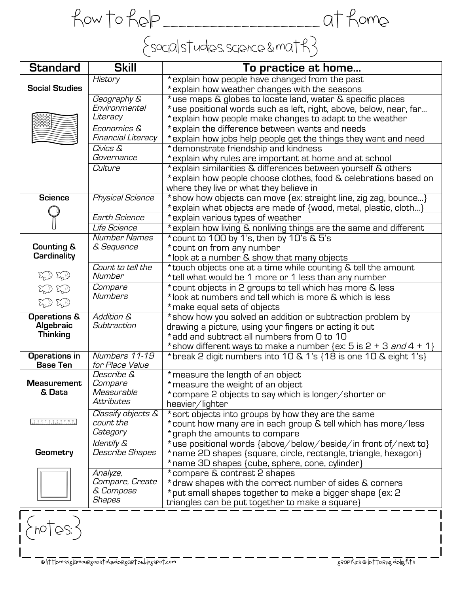How to help \_\_\_\_\_\_\_\_\_\_\_\_\_\_\_\_\_\_\_\_ at home {social studies, science & math}

| <b>Standard</b>                                         | <b>Skill</b>                                       | To practice at home                                                                                                                                                                                                                            |
|---------------------------------------------------------|----------------------------------------------------|------------------------------------------------------------------------------------------------------------------------------------------------------------------------------------------------------------------------------------------------|
| <b>Social Studies</b>                                   | History                                            | * explain how people have changed from the past<br>* explain how weather changes with the seasons                                                                                                                                              |
|                                                         | Geography &<br>Environmental<br>Literacy           | *use maps & globes to locate land, water & specific places<br>*use positional words such as left, right, above, below, near, far<br>* explain how people make changes to adapt to the weather                                                  |
|                                                         | Economics &<br>Financial Literacy                  | * explain the difference between wants and needs<br>* explain how jobs help people get the things they want and need                                                                                                                           |
|                                                         | Civics &<br>Governance                             | * demonstrate friendship and kindness<br>* explain why rules are important at home and at school                                                                                                                                               |
|                                                         | Culture                                            | * explain similarities & differences between yourself & others<br>* explain how people choose clothes, food & celebrations based on<br>where they live or what they believe in                                                                 |
| <b>Science</b>                                          | <b>Physical Science</b>                            | * show how objects can move {ex: straight line, zig zag, bounce}<br>*explain what objects are made of {wood, metal, plastic, cloth}                                                                                                            |
|                                                         | <b>Earth Science</b>                               | * explain various types of weather                                                                                                                                                                                                             |
|                                                         | Life Science<br><b>Number Names</b>                | * explain how living & nonliving things are the same and different<br>*count to 100 by 1's, then by 10's & 5's                                                                                                                                 |
| <b>Counting &amp;</b><br>Cardinality                    | & Sequence                                         | *count on from any number<br>*look at a number & show that many objects                                                                                                                                                                        |
| HD HD                                                   | Count to tell the<br>Number                        | *touch objects one at a time while counting & tell the amount<br>*tell what would be 1 more or 1 less than any number                                                                                                                          |
| HD HD<br>HD HD                                          | Compare<br><b>Numbers</b>                          | * count objects in 2 groups to tell which has more & less<br>*look at numbers and tell which is more & which is less<br>* make equal sets of objects                                                                                           |
| <b>Operations &amp;</b><br>Algebraic<br><b>Thinking</b> | <b>Addition &amp;</b><br>Subtraction               | * show how you solved an addition or subtraction problem by<br>drawing a picture, using your fingers or acting it out<br>*add and subtract all numbers from 0 to 10<br>*show different ways to make a number {ex: 5 is 2 + 3 <i>and</i> 4 + 1} |
| Operations in<br><b>Base Ten</b>                        | Numbers 11-19<br>for Place Value                   | *break 2 digit numbers into 10 & 1's {18 is one 10 & eight 1's}                                                                                                                                                                                |
| <b>Measurement</b><br>& Data                            | Describe &<br>Compare<br>Measurable<br>Attributes  | * measure the length of an object<br>* measure the weight of an object<br>*compare 2 objects to say which is longer/shorter or<br>heavier/lighter                                                                                              |
| tassesssson<br>miniminininininininin                    | Classify objects &<br>count the<br>Category        | *sort objects into groups by how they are the same<br>*count how many are in each group & tell which has more/less<br>* graph the amounts to compare                                                                                           |
| Geometry                                                | <b>Identify &amp;</b><br>Describe Shapes           | *use positional words {above/below/beside/in front of/next to}<br>*name 2D shapes {square, circle, rectangle, triangle, hexagon}<br>*name 3D shapes {cube, sphere, cone, cylinder}                                                             |
|                                                         | Analyze,<br>Compare, Create<br>& Compose<br>Shapes | *compare & contrast 2 shapes<br>* draw shapes with the correct number of sides & corners<br>* put small shapes together to make a bigger shape {ex: 2<br>triangles can be put together to make a square}                                       |
|                                                         |                                                    |                                                                                                                                                                                                                                                |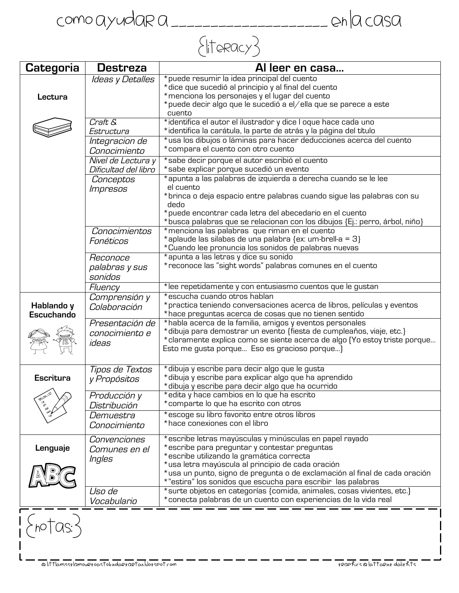Como ayudar a \_\_\_\_\_\_\_\_\_\_\_\_\_\_\_\_\_\_\_\_ en la casa

## $\{$ literacy $\}$

| Categoria                       | <b>Destreza</b>                            | Al leer en casa                                                                                                                                                                                                                                                                                                                                          |
|---------------------------------|--------------------------------------------|----------------------------------------------------------------------------------------------------------------------------------------------------------------------------------------------------------------------------------------------------------------------------------------------------------------------------------------------------------|
| Lectura                         | Ideas y Detalles                           | *puede resumir la idea principal del cuento<br>*dice que sucedió al principio y al final del cuento<br>* menciona los personajes y el lugar del cuento<br>*puede decir algo que le sucedió a el/ella que se parece a este                                                                                                                                |
|                                 | Craft &                                    | cuento<br>*identifica el autor el ilustrador y dice I oque hace cada uno                                                                                                                                                                                                                                                                                 |
|                                 | Estructura                                 | *identifica la carátula, la parte de atrás y la página del título                                                                                                                                                                                                                                                                                        |
|                                 | Integracion de<br>Conocimiento             | *usa los dibujos o láminas para hacer deducciones acerca del cuento<br>*compara el cuento con otro cuento                                                                                                                                                                                                                                                |
|                                 | Nivel de Lectura y<br>Dificultad del libro | *sabe decir porque el autor escribió el cuento<br>*sabe explicar porque sucedió un evento                                                                                                                                                                                                                                                                |
|                                 | Conceptos<br><i><b>Impresos</b></i>        | *apunta a las palabras de izquierda a derecha cuando se le lee<br>el cuento<br>*brinca o deja espacio entre palabras cuando sigue las palabras con su<br>dedo<br>*puede encontrar cada letra del abecedario en el cuento                                                                                                                                 |
|                                 | Conocimientos                              | *busca palabras que se relacionan con los dibujos {Ej.: perro, árbol, niño}<br>* menciona las palabras que riman en el cuento                                                                                                                                                                                                                            |
|                                 | Fonéticos                                  | *aplaude las silabas de una palabra {ex: um-brell-a = 3}<br>*Cuando lee pronuncia los sonidos de palabras nuevas                                                                                                                                                                                                                                         |
|                                 | Reconoce<br>palabras y sus<br>sonidos      | *apunta a las letras y dice su sonido<br>*reconoce las "sight words" palabras comunes en el cuento                                                                                                                                                                                                                                                       |
|                                 | Fluency                                    | *lee repetidamente y con entusiasmo cuentos que le gustan                                                                                                                                                                                                                                                                                                |
| Hablando y<br><b>Escuchando</b> | Comprensión y<br>Colaboración              | *escucha cuando otros hablan<br>*practica teniendo conversaciones acerca de libros, películas y eventos<br>*hace preguntas acerca de cosas que no tienen sentido                                                                                                                                                                                         |
|                                 | Presentación de<br>conocimiento e<br>ideas | *habla acerca de la familia, amigos y eventos personales<br>*dibuja para demostrar un evento {fiesta de cumpleaños, viaje, etc.}<br>*claramente explica como se siente acerca de algo (Yo estoy triste porque<br>Esto me gusta porque Eso es gracioso porque)                                                                                            |
| <b>Escritura</b><br>og.         | Tipos de Textos<br>y Propósitos            | * dibuja y escribe para decir algo que le gusta<br>*dibuja y escribe para explicar algo que ha aprendido<br>* dibuja y escribe para decir algo que ha ocurrido                                                                                                                                                                                           |
|                                 | Producción y<br>Distribución               | *edita y hace cambios en lo que ha escrito<br>*comparte lo que ha escrito con otros                                                                                                                                                                                                                                                                      |
|                                 | Demuestra<br>Conocimiento                  | *escoge su libro favorito entre otros libros<br>*hace conexiones con el libro                                                                                                                                                                                                                                                                            |
| Lenguaje                        | Convenciones<br>Comunes en el<br>Ingles    | *escribe letras mayúsculas y minúsculas en papel rayado<br>*escribe para preguntar y contestar preguntas<br>*escribe utilizando la gramática correcta<br>*usa letra mayúscula al principio de cada oración<br>*usa un punto, signo de pregunta o de exclamación al final de cada oración<br>*"estira" los sonidos que escucha para escribir las palabras |
|                                 | Uso de<br>Vocabulario                      | *surte objetos en categorías {comida, animales, cosas vivientes, etc.]<br>*conecta palabras de un cuento con experiencias de la vida real                                                                                                                                                                                                                |
|                                 |                                            |                                                                                                                                                                                                                                                                                                                                                          |